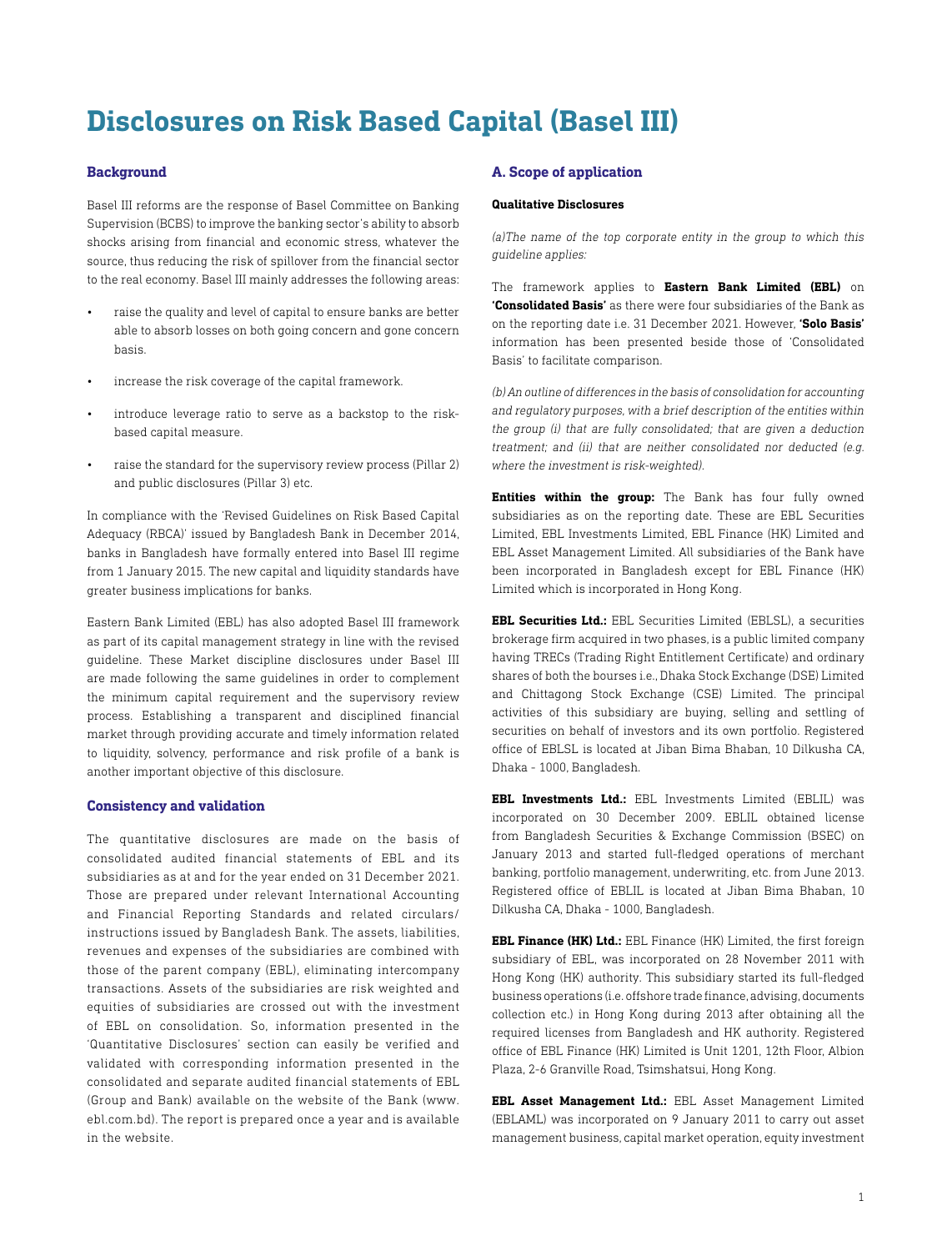# **Disclosures on Risk Based Capital (Basel III)**

# **Background**

Basel III reforms are the response of Basel Committee on Banking Supervision (BCBS) to improve the banking sector's ability to absorb shocks arising from financial and economic stress, whatever the source, thus reducing the risk of spillover from the financial sector to the real economy. Basel III mainly addresses the following areas:

- raise the quality and level of capital to ensure banks are better able to absorb losses on both going concern and gone concern basis.
- increase the risk coverage of the capital framework.
- introduce leverage ratio to serve as a backstop to the riskbased capital measure.
- raise the standard for the supervisory review process (Pillar 2) and public disclosures (Pillar 3) etc.

In compliance with the 'Revised Guidelines on Risk Based Capital Adequacy (RBCA)' issued by Bangladesh Bank in December 2014, banks in Bangladesh have formally entered into Basel III regime from 1 January 2015. The new capital and liquidity standards have greater business implications for banks.

Eastern Bank Limited (EBL) has also adopted Basel III framework as part of its capital management strategy in line with the revised guideline. These Market discipline disclosures under Basel III are made following the same guidelines in order to complement the minimum capital requirement and the supervisory review process. Establishing a transparent and disciplined financial market through providing accurate and timely information related to liquidity, solvency, performance and risk profile of a bank is another important objective of this disclosure.

## **Consistency and validation**

The quantitative disclosures are made on the basis of consolidated audited financial statements of EBL and its subsidiaries as at and for the year ended on 31 December 2021. Those are prepared under relevant International Accounting and Financial Reporting Standards and related circulars/ instructions issued by Bangladesh Bank. The assets, liabilities, revenues and expenses of the subsidiaries are combined with those of the parent company (EBL), eliminating intercompany transactions. Assets of the subsidiaries are risk weighted and equities of subsidiaries are crossed out with the investment of EBL on consolidation. So, information presented in the 'Quantitative Disclosures' section can easily be verified and validated with corresponding information presented in the consolidated and separate audited financial statements of EBL (Group and Bank) available on the website of the Bank (www. ebl.com.bd). The report is prepared once a year and is available in the website.

## **A. Scope of application**

# **Qualitative Disclosures**

*(a)The name of the top corporate entity in the group to which this guideline applies:*

The framework applies to **Eastern Bank Limited (EBL)** on **'Consolidated Basis'** as there were four subsidiaries of the Bank as on the reporting date i.e. 31 December 2021. However, **'Solo Basis'** information has been presented beside those of 'Consolidated Basis' to facilitate comparison.

*(b) An outline of differences in the basis of consolidation for accounting and regulatory purposes, with a brief description of the entities within the group (i) that are fully consolidated; that are given a deduction treatment; and (ii) that are neither consolidated nor deducted (e.g. where the investment is risk-weighted).*

**Entities within the group:** The Bank has four fully owned subsidiaries as on the reporting date. These are EBL Securities Limited, EBL Investments Limited, EBL Finance (HK) Limited and EBL Asset Management Limited. All subsidiaries of the Bank have been incorporated in Bangladesh except for EBL Finance (HK) Limited which is incorporated in Hong Kong.

**EBL Securities Ltd.:** EBL Securities Limited (EBLSL), a securities brokerage firm acquired in two phases, is a public limited company having TRECs (Trading Right Entitlement Certificate) and ordinary shares of both the bourses i.e., Dhaka Stock Exchange (DSE) Limited and Chittagong Stock Exchange (CSE) Limited. The principal activities of this subsidiary are buying, selling and settling of securities on behalf of investors and its own portfolio. Registered office of EBLSL is located at Jiban Bima Bhaban, 10 Dilkusha CA, Dhaka - 1000, Bangladesh.

**EBL Investments Ltd.:** EBL Investments Limited (EBLIL) was incorporated on 30 December 2009. EBLIL obtained license from Bangladesh Securities & Exchange Commission (BSEC) on January 2013 and started full-fledged operations of merchant banking, portfolio management, underwriting, etc. from June 2013. Registered office of EBLIL is located at Jiban Bima Bhaban, 10 Dilkusha CA, Dhaka - 1000, Bangladesh.

**EBL Finance (HK) Ltd.:** EBL Finance (HK) Limited, the first foreign subsidiary of EBL, was incorporated on 28 November 2011 with Hong Kong (HK) authority. This subsidiary started its full-fledged business operations (i.e. offshore trade finance, advising, documents collection etc.) in Hong Kong during 2013 after obtaining all the required licenses from Bangladesh and HK authority. Registered office of EBL Finance (HK) Limited is Unit 1201, 12th Floor, Albion Plaza, 2-6 Granville Road, Tsimshatsui, Hong Kong.

**EBL Asset Management Ltd.:** EBL Asset Management Limited (EBLAML) was incorporated on 9 January 2011 to carry out asset management business, capital market operation, equity investment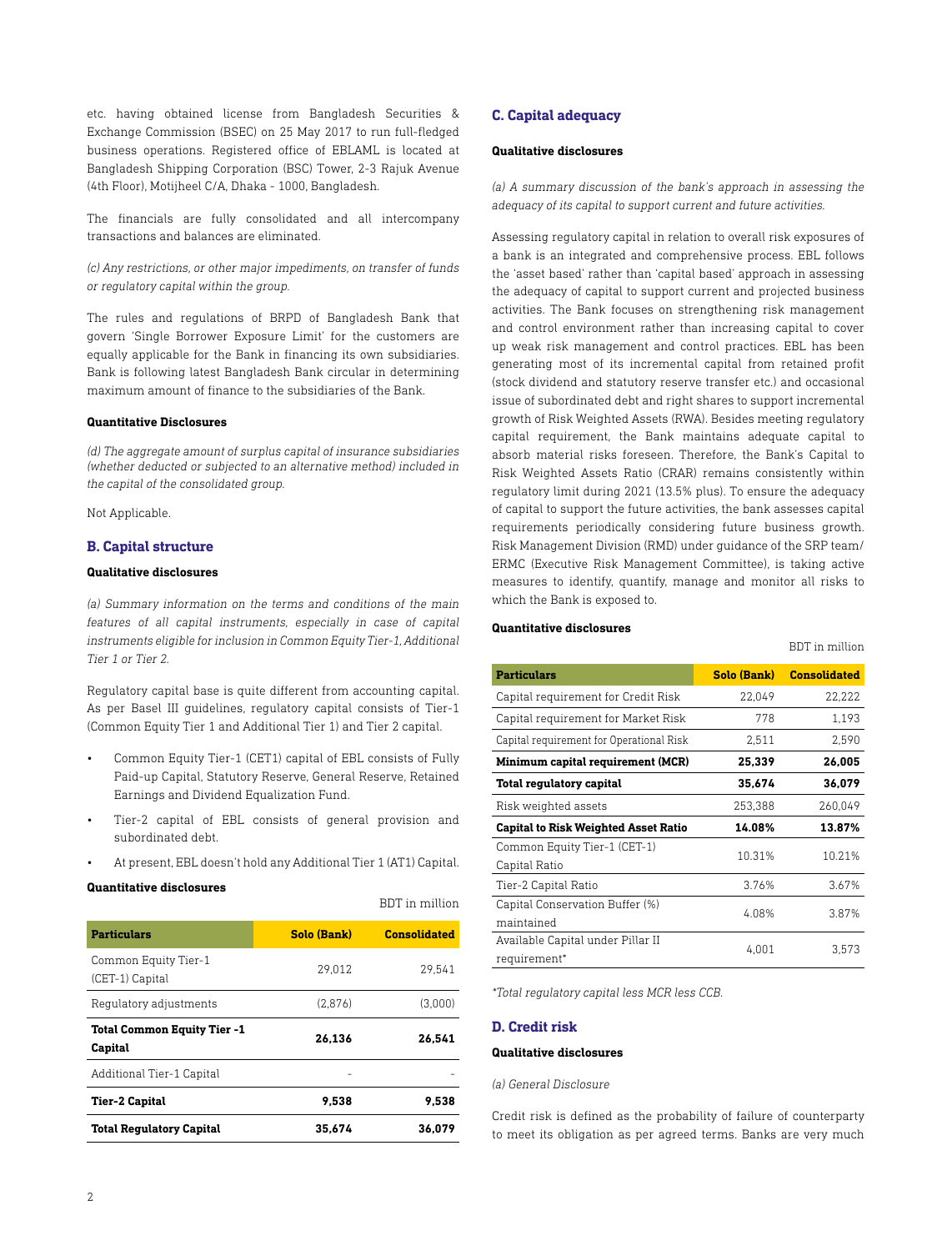etc. having obtained license from Bangladesh Securities & Exchange Commission (BSEC) on 25 May 2017 to run full-fledged business operations. Registered office of EBLAML is located at Bangladesh Shipping Corporation (BSC) Tower, 2-3 Rajuk Avenue (4th Floor), Motijheel C/A, Dhaka - 1000, Bangladesh.

The financials are fully consolidated and all intercompany transactions and balances are eliminated.

*(c) Any restrictions, or other major impediments, on transfer of funds or regulatory capital within the group.*

The rules and regulations of BRPD of Bangladesh Bank that govern 'Single Borrower Exposure Limit' for the customers are equally applicable for the Bank in financing its own subsidiaries. Bank is following latest Bangladesh Bank circular in determining maximum amount of finance to the subsidiaries of the Bank.

## **Quantitative Disclosures**

*(d) The aggregate amount of surplus capital of insurance subsidiaries (whether deducted or subjected to an alternative method) included in the capital of the consolidated group.*

Not Applicable.

## **B. Capital structure**

# **Qualitative disclosures**

*(a) Summary information on the terms and conditions of the main features of all capital instruments, especially in case of capital instruments eligible for inclusion in Common Equity Tier-1, Additional Tier 1 or Tier 2.*

Regulatory capital base is quite different from accounting capital. As per Basel III guidelines, regulatory capital consists of Tier-1 (Common Equity Tier 1 and Additional Tier 1) and Tier 2 capital.

- Common Equity Tier-1 (CET1) capital of EBL consists of Fully Paid-up Capital, Statutory Reserve, General Reserve, Retained Earnings and Dividend Equalization Fund.
- Tier-2 capital of EBL consists of general provision and subordinated debt.
- At present, EBL doesn't hold any Additional Tier 1 (AT1) Capital.

#### **Quantitative disclosures**

| <b>Particulars</b>                            | Solo (Bank) | <b>Consolidated</b> |
|-----------------------------------------------|-------------|---------------------|
| Common Equity Tier-1<br>(CET-1) Capital       | 29.012      | 29.541              |
| Regulatory adjustments                        | (2.876)     | (3.000)             |
| <b>Total Common Equity Tier -1</b><br>Capital | 26.136      | 26.541              |
| Additional Tier-1 Capital                     |             |                     |
| Tier-2 Capital                                | 9.538       | 9.538               |
| <b>Total Regulatory Capital</b>               | 35.674      | 36.079              |
|                                               |             |                     |

BDT in million

#### **C. Capital adequacy**

## **Qualitative disclosures**

*(a) A summary discussion of the bank's approach in assessing the adequacy of its capital to support current and future activities.*

Assessing regulatory capital in relation to overall risk exposures of a bank is an integrated and comprehensive process. EBL follows the 'asset based' rather than 'capital based' approach in assessing the adequacy of capital to support current and projected business activities. The Bank focuses on strengthening risk management and control environment rather than increasing capital to cover up weak risk management and control practices. EBL has been generating most of its incremental capital from retained profit (stock dividend and statutory reserve transfer etc.) and occasional issue of subordinated debt and right shares to support incremental growth of Risk Weighted Assets (RWA). Besides meeting regulatory capital requirement, the Bank maintains adequate capital to absorb material risks foreseen. Therefore, the Bank's Capital to Risk Weighted Assets Ratio (CRAR) remains consistently within regulatory limit during 2021 (13.5% plus). To ensure the adequacy of capital to support the future activities, the bank assesses capital requirements periodically considering future business growth. Risk Management Division (RMD) under guidance of the SRP team/ ERMC (Executive Risk Management Committee), is taking active measures to identify, quantify, manage and monitor all risks to which the Bank is exposed to.

## **Quantitative disclosures**

| <b>Particulars</b>                                | Solo (Bank) | <b>Consolidated</b> |
|---------------------------------------------------|-------------|---------------------|
| Capital requirement for Credit Risk               | 22,049      | 22,222              |
| Capital requirement for Market Risk               | 778         | 1,193               |
| Capital requirement for Operational Risk          | 2,511       | 2,590               |
| Minimum capital requirement (MCR)                 | 25.339      | 26,005              |
| Total regulatory capital                          | 35.674      | 36.079              |
| Risk weighted assets                              | 253,388     | 260,049             |
| <b>Capital to Risk Weighted Asset Ratio</b>       | 14.08%      | 13.87%              |
| Common Equity Tier-1 (CET-1)<br>Capital Ratio     | 10.31%      | 10.21%              |
| Tier-2 Capital Ratio                              | 3.76%       | 3.67%               |
| Capital Conservation Buffer (%)<br>maintained     | 4.08%       | 3.87%               |
| Available Capital under Pillar II<br>requirement* | 4,001       | 3,573               |

BDT in million

*\*Total regulatory capital less MCR less CCB.*

# **D. Credit risk**

#### **Qualitative disclosures**

#### *(a) General Disclosure*

Credit risk is defined as the probability of failure of counterparty to meet its obligation as per agreed terms. Banks are very much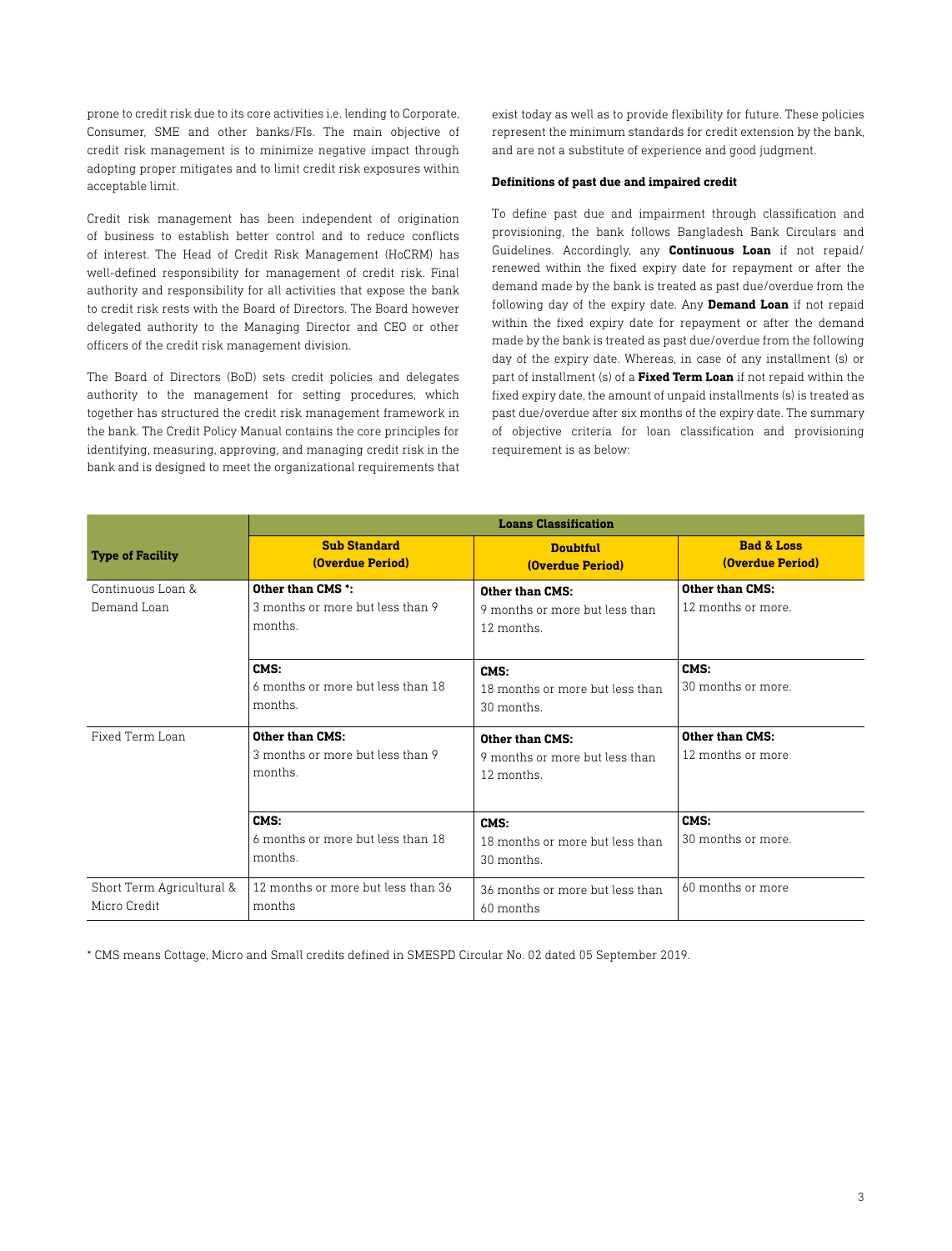prone to credit risk due to its core activities i.e. lending to Corporate, Consumer, SME and other banks/FIs. The main objective of credit risk management is to minimize negative impact through adopting proper mitigates and to limit credit risk exposures within acceptable limit.

Credit risk management has been independent of origination of business to establish better control and to reduce conflicts of interest. The Head of Credit Risk Management (HoCRM) has well-defined responsibility for management of credit risk. Final authority and responsibility for all activities that expose the bank to credit risk rests with the Board of Directors. The Board however delegated authority to the Managing Director and CEO or other officers of the credit risk management division.

The Board of Directors (BoD) sets credit policies and delegates authority to the management for setting procedures, which together has structured the credit risk management framework in the bank. The Credit Policy Manual contains the core principles for identifying, measuring, approving, and managing credit risk in the bank and is designed to meet the organizational requirements that

exist today as well as to provide flexibility for future. These policies represent the minimum standards for credit extension by the bank, and are not a substitute of experience and good judgment.

#### **Definitions of past due and impaired credit**

To define past due and impairment through classification and provisioning, the bank follows Bangladesh Bank Circulars and Guidelines. Accordingly, any **Continuous Loan** if not repaid/ renewed within the fixed expiry date for repayment or after the demand made by the bank is treated as past due/overdue from the following day of the expiry date. Any **Demand Loan** if not repaid within the fixed expiry date for repayment or after the demand made by the bank is treated as past due/overdue from the following day of the expiry date. Whereas, in case of any installment (s) or part of installment (s) of a **Fixed Term Loan** if not repaid within the fixed expiry date, the amount of unpaid installments (s) is treated as past due/overdue after six months of the expiry date. The summary of objective criteria for loan classification and provisioning requirement is as below:

|                                           | <b>Loans Classification</b>                                      |                                                                 |                                                  |
|-------------------------------------------|------------------------------------------------------------------|-----------------------------------------------------------------|--------------------------------------------------|
| <b>Type of Facility</b>                   | <b>Sub Standard</b><br>(Overdue Period)                          | <b>Doubtful</b><br>(Overdue Period)                             | <b>Bad &amp; Loss</b><br><b>(Overdue Period)</b> |
| Continuous Loan &<br>Demand Loan          | Other than CMS *:<br>3 months or more but less than 9<br>months. | Other than CMS:<br>9 months or more but less than<br>12 months. | Other than CMS:<br>12 months or more.            |
|                                           | CMS:<br>6 months or more but less than 18<br>months.             | CMS:<br>18 months or more but less than<br>30 months.           | CMS:<br>30 months or more.                       |
| Fixed Term Loan                           | Other than CMS:<br>3 months or more but less than 9<br>months.   | Other than CMS:<br>9 months or more but less than<br>12 months. | Other than CMS:<br>12 months or more             |
|                                           | CMS:<br>6 months or more but less than 18<br>months.             | CMS:<br>18 months or more but less than<br>30 months.           | CMS:<br>30 months or more.                       |
| Short Term Agricultural &<br>Micro Credit | 12 months or more but less than 36<br>months                     | 36 months or more but less than<br>60 months                    | 60 months or more                                |

\* CMS means Cottage, Micro and Small credits defined in SMESPD Circular No. 02 dated 05 September 2019.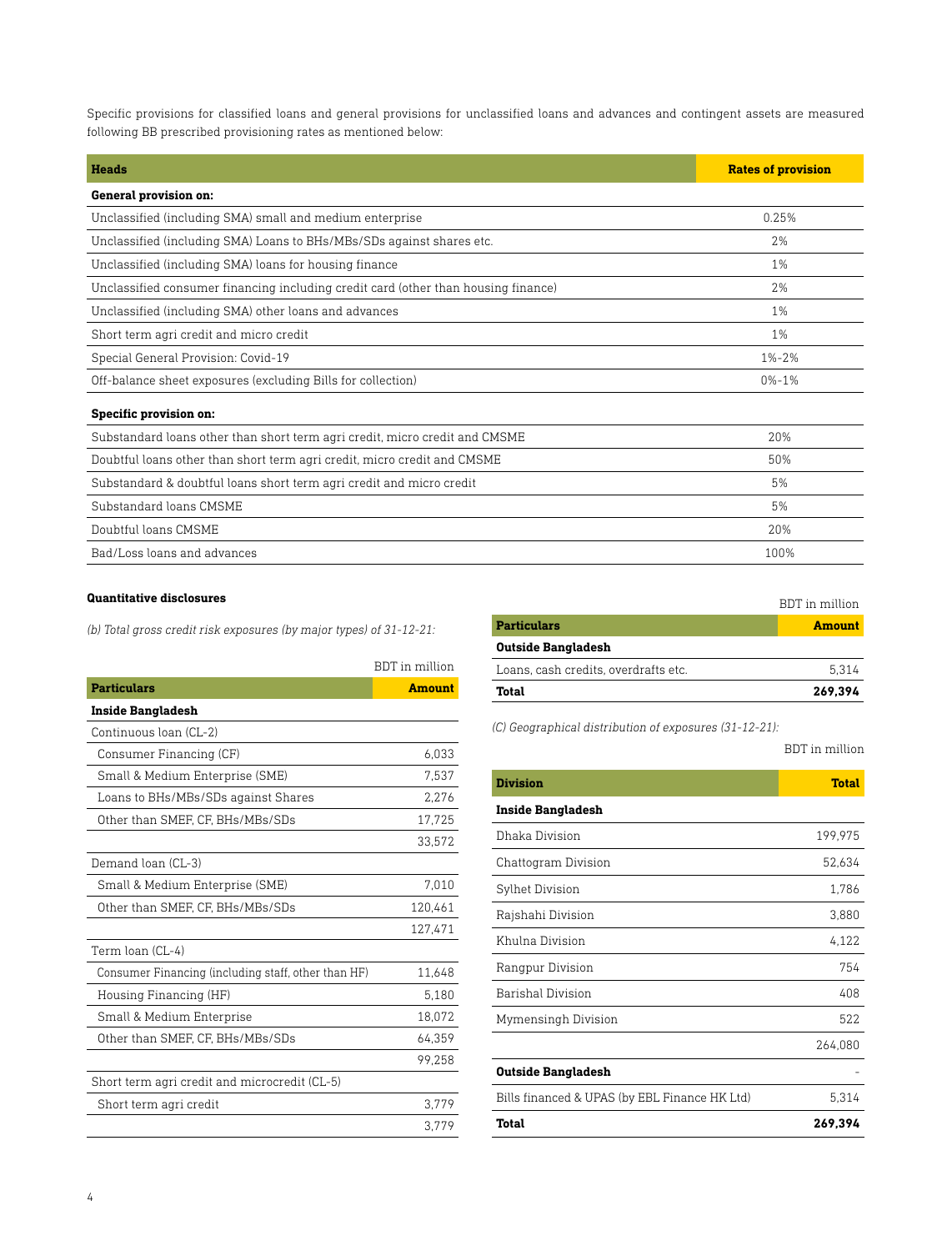Specific provisions for classified loans and general provisions for unclassified loans and advances and contingent assets are measured following BB prescribed provisioning rates as mentioned below:

| <b>Heads</b>                                                                       | <b>Rates of provision</b> |
|------------------------------------------------------------------------------------|---------------------------|
| General provision on:                                                              |                           |
| Unclassified (including SMA) small and medium enterprise                           | 0.25%                     |
| Unclassified (including SMA) Loans to BHs/MBs/SDs against shares etc.              | 2%                        |
| Unclassified (including SMA) loans for housing finance                             | 1%                        |
| Unclassified consumer financing including credit card (other than housing finance) | 2%                        |
| Unclassified (including SMA) other loans and advances                              | 1%                        |
| Short term agri credit and micro credit                                            | 1%                        |
| Special General Provision: Covid-19                                                | $1\% - 2\%$               |
| Off-balance sheet exposures (excluding Bills for collection)                       | $0% - 1%$                 |
| <b>Specific provision on:</b>                                                      |                           |
| Substandard loans other than short term agri credit, micro credit and CMSME        | 20%                       |
| Doubtful loans other than short term agri credit, micro credit and CMSME           | 50%                       |
| Substandard & doubtful loans short term agri credit and micro credit               | 5%                        |
| Substandard loans CMSME                                                            | 5%                        |
| Doubtful loans CMSME                                                               | 20%                       |
| Bad/Loss loans and advances                                                        | 100%                      |

# **Quantitative disclosures**

*(b) Total gross credit risk exposures (by major types) of 31-12-21:*

|                                                     | BDT in million |
|-----------------------------------------------------|----------------|
| <b>Particulars</b>                                  | <b>Amount</b>  |
| <b>Inside Bangladesh</b>                            |                |
| Continuous loan (CL-2)                              |                |
| Consumer Financing (CF)                             | 6,033          |
| Small & Medium Enterprise (SME)                     | 7,537          |
| Loans to BHs/MBs/SDs against Shares                 | 2,276          |
| Other than SMEF, CF, BHs/MBs/SDs                    | 17,725         |
|                                                     | 33,572         |
| Demand loan (CL-3)                                  |                |
| Small & Medium Enterprise (SME)                     | 7,010          |
| Other than SMEF, CF, BHs/MBs/SDs                    | 120,461        |
|                                                     | 127,471        |
| Term loan (CL-4)                                    |                |
| Consumer Financing (including staff, other than HF) | 11,648         |
| Housing Financing (HF)                              | 5.180          |
| Small & Medium Enterprise                           | 18,072         |
| Other than SMEF, CF, BHs/MBs/SDs                    | 64.359         |
|                                                     | 99.258         |
| Short term agri credit and microcredit (CL-5)       |                |
| Short term agri credit                              | 3,779          |
|                                                     | 3.779          |

|                                      | BDT in million |
|--------------------------------------|----------------|
| <b>Particulars</b>                   | <b>Amount</b>  |
| <b>Outside Bangladesh</b>            |                |
| Loans, cash credits, overdrafts etc. | 5.314          |
| <b>Total</b>                         | 269.394        |

*(C) Geographical distribution of exposures (31-12-21):*

# BDT in million

| <b>Division</b>                               | <b>Total</b> |
|-----------------------------------------------|--------------|
| <b>Inside Bangladesh</b>                      |              |
| Dhaka Division                                | 199,975      |
| Chattogram Division                           | 52,634       |
| Sylhet Division                               | 1,786        |
| Rajshahi Division                             | 3,880        |
| Khulna Division                               | 4,122        |
| Rangpur Division                              | 754          |
| Barishal Division                             | 408          |
| Mymensingh Division                           | 522          |
|                                               | 264,080      |
| <b>Outside Bangladesh</b>                     |              |
| Bills financed & UPAS (by EBL Finance HK Ltd) | 5,314        |
| <b>Total</b>                                  | 269,394      |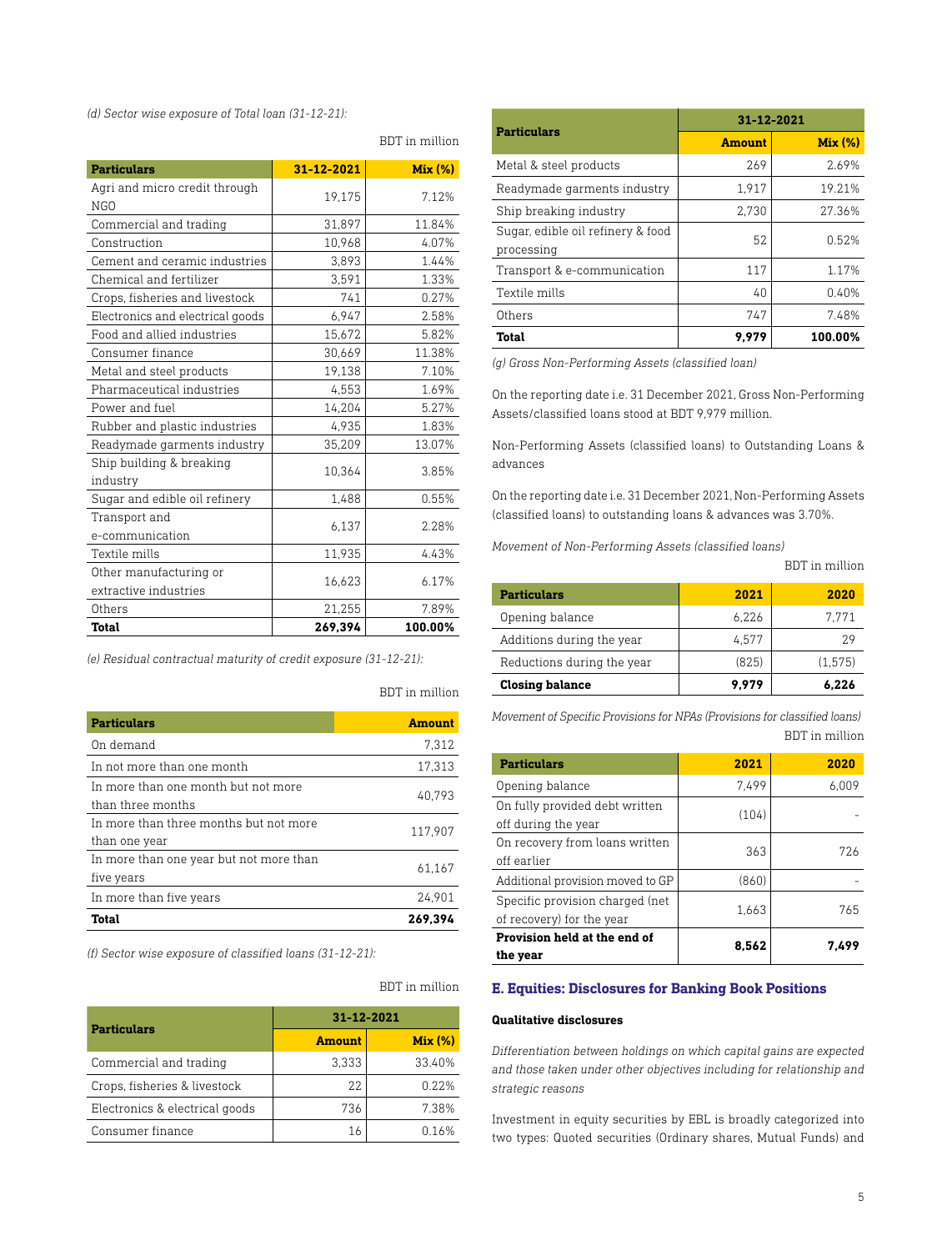*(d) Sector wise exposure of Total loan (31-12-21):*

| <b>Particulars</b>               | 31-12-2021 | <b>Mix (%)</b> |
|----------------------------------|------------|----------------|
| Agri and micro credit through    |            |                |
| NGO                              | 19,175     | 7.12%          |
| Commercial and trading           | 31,897     | 11.84%         |
| Construction                     | 10,968     | 4.07%          |
| Cement and ceramic industries    | 3,893      | 1.44%          |
| Chemical and fertilizer          | 3.591      | 1.33%          |
| Crops, fisheries and livestock   | 741        | 0.27%          |
| Electronics and electrical goods | 6,947      | 2.58%          |
| Food and allied industries       | 15,672     | 5.82%          |
| Consumer finance                 | 30,669     | 11.38%         |
| Metal and steel products         | 19,138     | 7.10%          |
| Pharmaceutical industries        | 4,553      | 1.69%          |
| Power and fuel                   | 14,204     | 5.27%          |
| Rubber and plastic industries    | 4,935      | 1.83%          |
| Readymade garments industry      | 35,209     | 13.07%         |
| Ship building & breaking         |            |                |
| industry                         | 10,364     | 3.85%          |
| Sugar and edible oil refinery    | 1,488      | 0.55%          |
| Transport and                    |            |                |
| e-communication                  | 6,137      | 2.28%          |
| Textile mills                    | 11,935     | 4.43%          |
| Other manufacturing or           |            |                |
| extractive industries            | 16,623     | 6.17%          |
| Others                           | 21,255     | 7.89%          |
| Total                            | 269.394    | 100.00%        |

*(e) Residual contractual maturity of credit exposure (31-12-21):*

BDT in million

BDT in million

BDT in million

| <b>Particulars</b>                      | <b>Amount</b> |
|-----------------------------------------|---------------|
| On demand                               | 7.312         |
| In not more than one month              | 17.313        |
| In more than one month but not more     | 40.793        |
| than three months                       |               |
| In more than three months but not more  | 117.907       |
| than one year                           |               |
| In more than one year but not more than | 61.167        |
| five years                              |               |
| In more than five years                 | 24.901        |
| Total                                   | 269.394       |

*(f) Sector wise exposure of classified loans (31-12-21):*

| <b>Particulars</b>             | 31-12-2021    |         |
|--------------------------------|---------------|---------|
|                                | <b>Amount</b> | Mix (%) |
| Commercial and trading         | 3.333         | 33.40%  |
| Crops, fisheries & livestock   | 22            | 0.22%   |
| Electronics & electrical goods | 736           | 7.38%   |
| Consumer finance               | 16            | በ 16%   |

| <b>Particulars</b>                              | 31-12-2021    |         |
|-------------------------------------------------|---------------|---------|
|                                                 | <b>Amount</b> | Mix (%) |
| Metal & steel products                          | 269           | 2.69%   |
| Readymade garments industry                     | 1.917         | 19.21%  |
| Ship breaking industry                          | 2,730         | 27.36%  |
| Sugar, edible oil refinery & food<br>processing | 52            | 0.52%   |
| Transport & e-communication                     | 117           | 1.17%   |
| Textile mills                                   | 40            | 0.40%   |
| Others                                          | 747           | 7.48%   |
| <b>Total</b>                                    | 9,979         | 100.00% |

*(g) Gross Non-Performing Assets (classified loan)*

On the reporting date i.e. 31 December 2021, Gross Non-Performing Assets/classified loans stood at BDT 9,979 million.

Non-Performing Assets (classified loans) to Outstanding Loans & advances

On the reporting date i.e. 31 December 2021, Non-Performing Assets (classified loans) to outstanding loans & advances was 3.70%.

*Movement of Non-Performing Assets (classified loans)* 

BDT in million

| <b>Particulars</b>         | 2021  | 2020    |
|----------------------------|-------|---------|
| Opening balance            | 6.226 | 7.771   |
| Additions during the year  | 4.577 | 29      |
| Reductions during the year | (825) | (1,575) |
| <b>Closing balance</b>     | 9.979 | 6.226   |

*Movement of Specific Provisions for NPAs (Provisions for classified loans)* BDT in million

| <b>Particulars</b>                                           | 2021  | 2020  |
|--------------------------------------------------------------|-------|-------|
| Opening balance                                              | 7.499 | 6.009 |
| On fully provided debt written<br>off during the year        | (104) |       |
| On recovery from loans written<br>off earlier                | 363   | 726   |
| Additional provision moved to GP                             | (860) |       |
| Specific provision charged (net<br>of recovery) for the year | 1.663 | 765   |
| Provision held at the end of<br>the year                     | 8.562 | 7.499 |

# **E. Equities: Disclosures for Banking Book Positions**

## **Qualitative disclosures**

*Differentiation between holdings on which capital gains are expected and those taken under other objectives including for relationship and strategic reasons*

Investment in equity securities by EBL is broadly categorized into two types: Quoted securities (Ordinary shares, Mutual Funds) and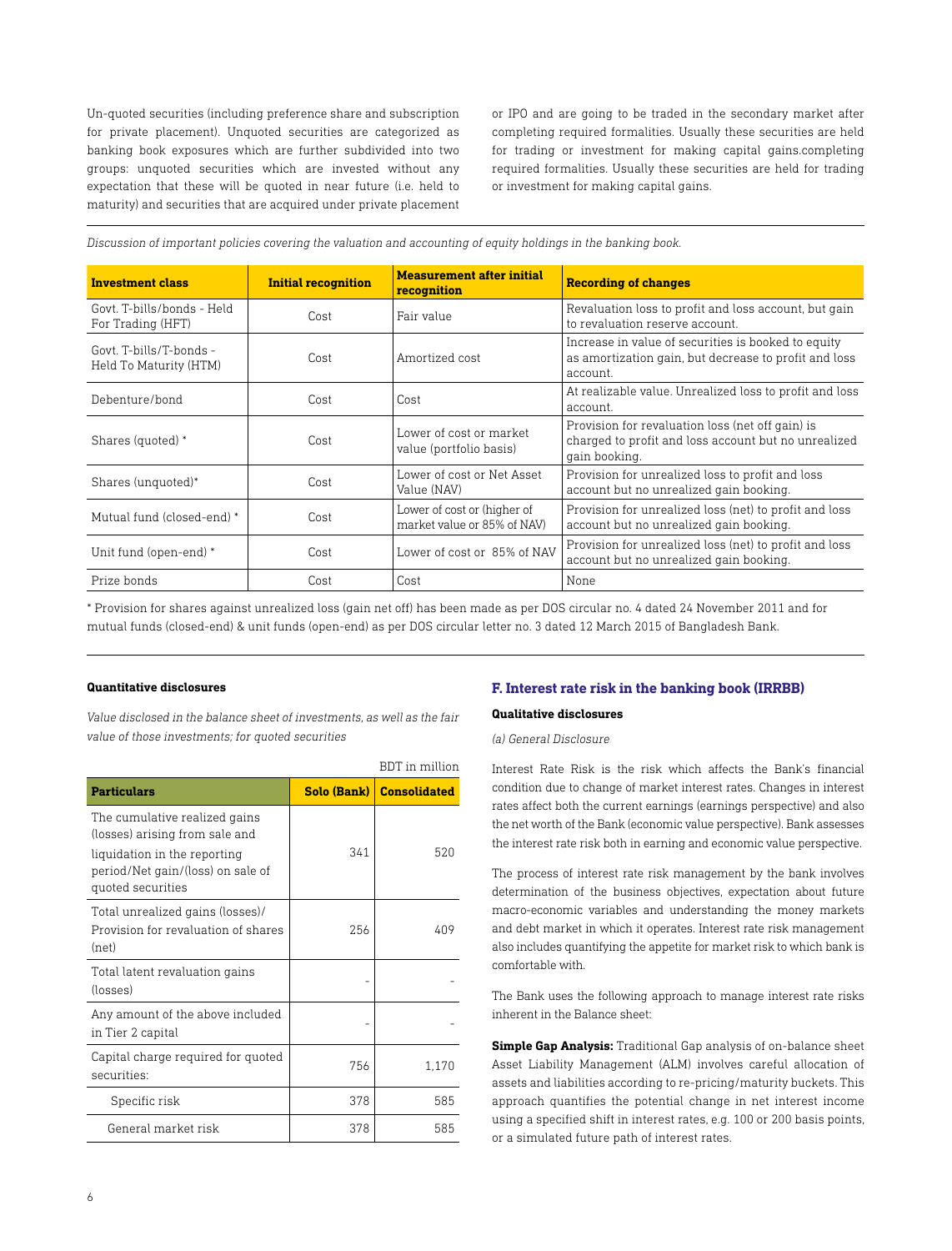Un-quoted securities (including preference share and subscription for private placement). Unquoted securities are categorized as banking book exposures which are further subdivided into two groups: unquoted securities which are invested without any expectation that these will be quoted in near future (i.e. held to maturity) and securities that are acquired under private placement

or IPO and are going to be traded in the secondary market after completing required formalities. Usually these securities are held for trading or investment for making capital gains.completing required formalities. Usually these securities are held for trading or investment for making capital gains.

*Discussion of important policies covering the valuation and accounting of equity holdings in the banking book.* 

| <b>Investment class</b>                          | <b>Initial recognition</b> | <b>Measurement after initial</b><br>recognition            | <b>Recording of changes</b>                                                                                               |
|--------------------------------------------------|----------------------------|------------------------------------------------------------|---------------------------------------------------------------------------------------------------------------------------|
| Govt, T-bills/bonds - Held<br>For Trading (HFT)  | Cost                       | Fair value                                                 | Revaluation loss to profit and loss account, but gain<br>to revaluation reserve account.                                  |
| Govt T-bills/T-bonds -<br>Held To Maturity (HTM) | Cost                       | Amortized cost                                             | Increase in value of securities is booked to equity<br>as amortization gain, but decrease to profit and loss<br>account.  |
| Debenture/bond                                   | Cost                       | Cost                                                       | At realizable value. Unrealized loss to profit and loss<br>account.                                                       |
| Shares (quoted) *                                | Cost                       | Lower of cost or market<br>value (portfolio basis)         | Provision for revaluation loss (net off gain) is<br>charged to profit and loss account but no unrealized<br>gain booking. |
| Shares (unquoted)*                               | Cost                       | Lower of cost or Net Asset<br>Value (NAV)                  | Provision for unrealized loss to profit and loss<br>account but no unrealized gain booking.                               |
| Mutual fund (closed-end) *                       | Cost                       | Lower of cost or (higher of<br>market value or 85% of NAV) | Provision for unrealized loss (net) to profit and loss<br>account but no unrealized gain booking.                         |
| Unit fund (open-end) *                           | Cost                       | Lower of cost or 85% of NAV                                | Provision for unrealized loss (net) to profit and loss<br>account but no unrealized gain booking.                         |
| Prize bonds                                      | Cost                       | Cost                                                       | None                                                                                                                      |

\* Provision for shares against unrealized loss (gain net off) has been made as per DOS circular no. 4 dated 24 November 2011 and for mutual funds (closed-end) & unit funds (open-end) as per DOS circular letter no. 3 dated 12 March 2015 of Bangladesh Bank.

## **Quantitative disclosures**

*Value disclosed in the balance sheet of investments, as well as the fair value of those investments; for quoted securities* 

|                                                                                                                                                           |     | <b>BDT</b> in million      |
|-----------------------------------------------------------------------------------------------------------------------------------------------------------|-----|----------------------------|
| <b>Particulars</b>                                                                                                                                        |     | Solo (Bank)   Consolidated |
| The cumulative realized gains<br>(losses) arising from sale and<br>liquidation in the reporting<br>period/Net gain/(loss) on sale of<br>quoted securities | 341 | 520                        |
| Total unrealized gains (losses)/<br>Provision for revaluation of shares<br>(net)                                                                          | 256 | 409                        |
| Total latent revaluation gains<br>(losses)                                                                                                                |     |                            |
| Any amount of the above included<br>in Tier 2 capital                                                                                                     |     |                            |
| Capital charge required for quoted<br>securities:                                                                                                         | 756 | 1,170                      |
| Specific risk                                                                                                                                             | 378 | 585                        |
| General market risk                                                                                                                                       | 378 | 585                        |

# **F. Interest rate risk in the banking book (IRRBB)**

#### **Qualitative disclosures**

## *(a) General Disclosure*

Interest Rate Risk is the risk which affects the Bank's financial condition due to change of market interest rates. Changes in interest rates affect both the current earnings (earnings perspective) and also the net worth of the Bank (economic value perspective). Bank assesses the interest rate risk both in earning and economic value perspective.

The process of interest rate risk management by the bank involves determination of the business objectives, expectation about future macro-economic variables and understanding the money markets and debt market in which it operates. Interest rate risk management also includes quantifying the appetite for market risk to which bank is comfortable with.

The Bank uses the following approach to manage interest rate risks inherent in the Balance sheet:

**Simple Gap Analysis:** Traditional Gap analysis of on-balance sheet Asset Liability Management (ALM) involves careful allocation of assets and liabilities according to re-pricing/maturity buckets. This approach quantifies the potential change in net interest income using a specified shift in interest rates, e.g. 100 or 200 basis points, or a simulated future path of interest rates.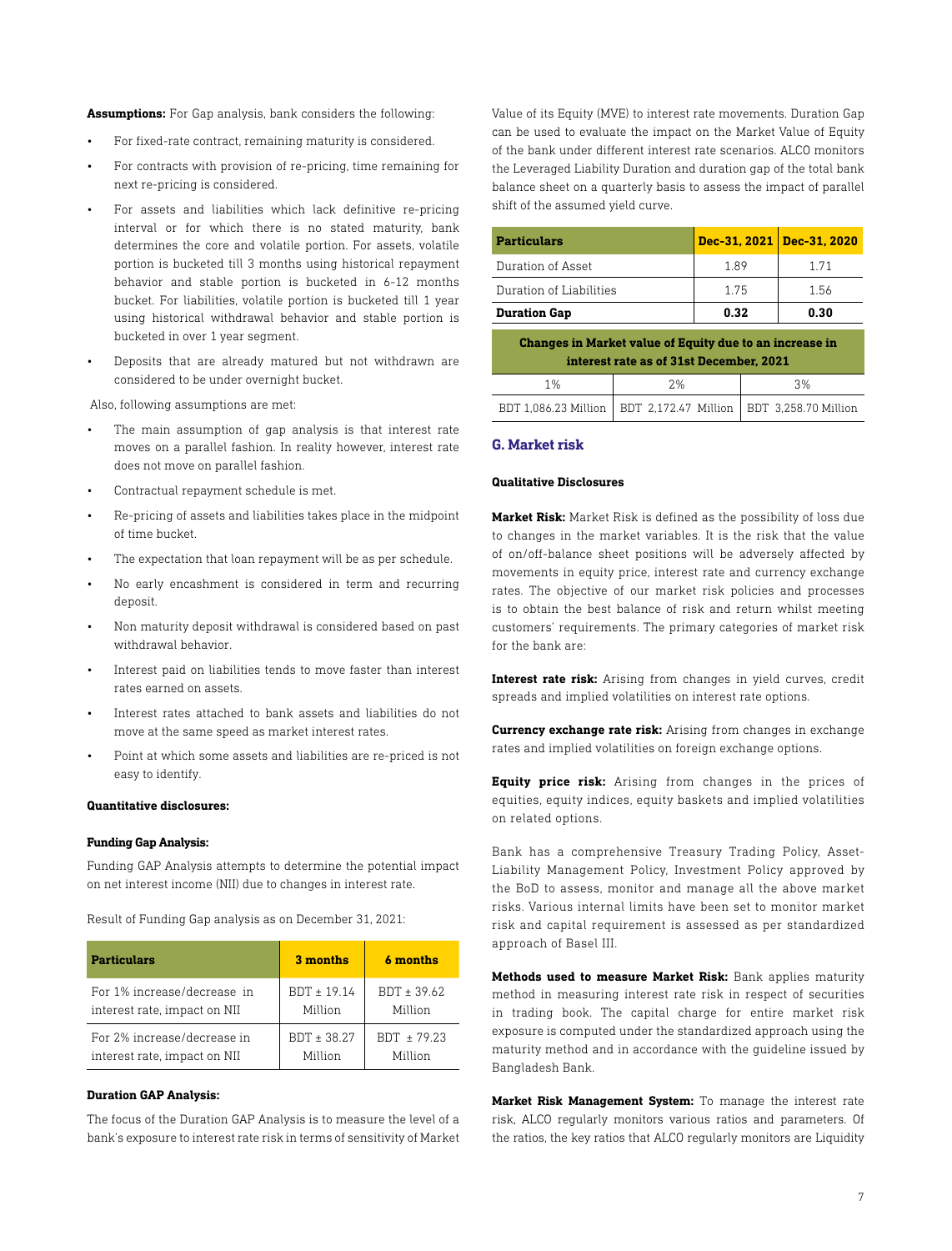**Assumptions:** For Gap analysis, bank considers the following:

- For fixed-rate contract, remaining maturity is considered.
- For contracts with provision of re-pricing, time remaining for next re-pricing is considered.
- For assets and liabilities which lack definitive re-pricing interval or for which there is no stated maturity, bank determines the core and volatile portion. For assets, volatile portion is bucketed till 3 months using historical repayment behavior and stable portion is bucketed in 6-12 months bucket. For liabilities, volatile portion is bucketed till 1 year using historical withdrawal behavior and stable portion is bucketed in over 1 year segment.
- Deposits that are already matured but not withdrawn are considered to be under overnight bucket.

Also, following assumptions are met:

- The main assumption of gap analysis is that interest rate moves on a parallel fashion. In reality however, interest rate does not move on parallel fashion.
- Contractual repayment schedule is met.
- Re-pricing of assets and liabilities takes place in the midpoint of time bucket.
- The expectation that loan repayment will be as per schedule.
- No early encashment is considered in term and recurring deposit.
- Non maturity deposit withdrawal is considered based on past withdrawal behavior.
- Interest paid on liabilities tends to move faster than interest rates earned on assets.
- Interest rates attached to bank assets and liabilities do not move at the same speed as market interest rates.
- Point at which some assets and liabilities are re-priced is not easy to identify.

## **Quantitative disclosures:**

#### **Funding Gap Analysis:**

Funding GAP Analysis attempts to determine the potential impact on net interest income (NII) due to changes in interest rate.

Result of Funding Gap analysis as on December 31, 2021:

| <b>Particulars</b>           | 3 months        | 6 months      |
|------------------------------|-----------------|---------------|
| For 1% increase/decrease in  | $BDT \pm 19.14$ | BDT ± 39.62   |
| interest rate, impact on NII | Million         | Million       |
| For 2% increase/decrease in  | BDT ± 38.27     | $BDT + 79.23$ |
| interest rate, impact on NII | Million         | Million       |

#### **Duration GAP Analysis:**

The focus of the Duration GAP Analysis is to measure the level of a bank's exposure to interest rate risk in terms of sensitivity of Market Value of its Equity (MVE) to interest rate movements. Duration Gap can be used to evaluate the impact on the Market Value of Equity of the bank under different interest rate scenarios. ALCO monitors the Leveraged Liability Duration and duration gap of the total bank balance sheet on a quarterly basis to assess the impact of parallel shift of the assumed yield curve.

| <b>Particulars</b>                                      | Dec-31, 2021   Dec-31, 2020 |       |  |  |
|---------------------------------------------------------|-----------------------------|-------|--|--|
| Duration of Asset                                       | 189                         | 1 7 1 |  |  |
| Duration of Liabilities                                 | 1 75                        | 1.56  |  |  |
| <b>Duration Gap</b>                                     | 0.32                        | 0.30  |  |  |
| Changes in Market value of Equity due to an increase in |                             |       |  |  |

| <u>annother an use the state of a manuscription of the second second and</u><br>interest rate as of 31st December, 2021 |                                                                    |    |  |
|-------------------------------------------------------------------------------------------------------------------------|--------------------------------------------------------------------|----|--|
| 1%                                                                                                                      | 2%                                                                 | 3% |  |
|                                                                                                                         | BDT 1,086.23 Million   BDT 2,172.47 Million   BDT 3,258.70 Million |    |  |

#### **G. Market risk**

#### **Qualitative Disclosures**

**Market Risk:** Market Risk is defined as the possibility of loss due to changes in the market variables. It is the risk that the value of on/off-balance sheet positions will be adversely affected by movements in equity price, interest rate and currency exchange rates. The objective of our market risk policies and processes is to obtain the best balance of risk and return whilst meeting customers' requirements. The primary categories of market risk for the bank are:

**Interest rate risk:** Arising from changes in yield curves, credit spreads and implied volatilities on interest rate options.

**Currency exchange rate risk:** Arising from changes in exchange rates and implied volatilities on foreign exchange options.

**Equity price risk:** Arising from changes in the prices of equities, equity indices, equity baskets and implied volatilities on related options.

Bank has a comprehensive Treasury Trading Policy, Asset-Liability Management Policy, Investment Policy approved by the BoD to assess, monitor and manage all the above market risks. Various internal limits have been set to monitor market risk and capital requirement is assessed as per standardized approach of Basel III.

**Methods used to measure Market Risk:** Bank applies maturity method in measuring interest rate risk in respect of securities in trading book. The capital charge for entire market risk exposure is computed under the standardized approach using the maturity method and in accordance with the guideline issued by Bangladesh Bank.

**Market Risk Management System:** To manage the interest rate risk, ALCO regularly monitors various ratios and parameters. Of the ratios, the key ratios that ALCO regularly monitors are Liquidity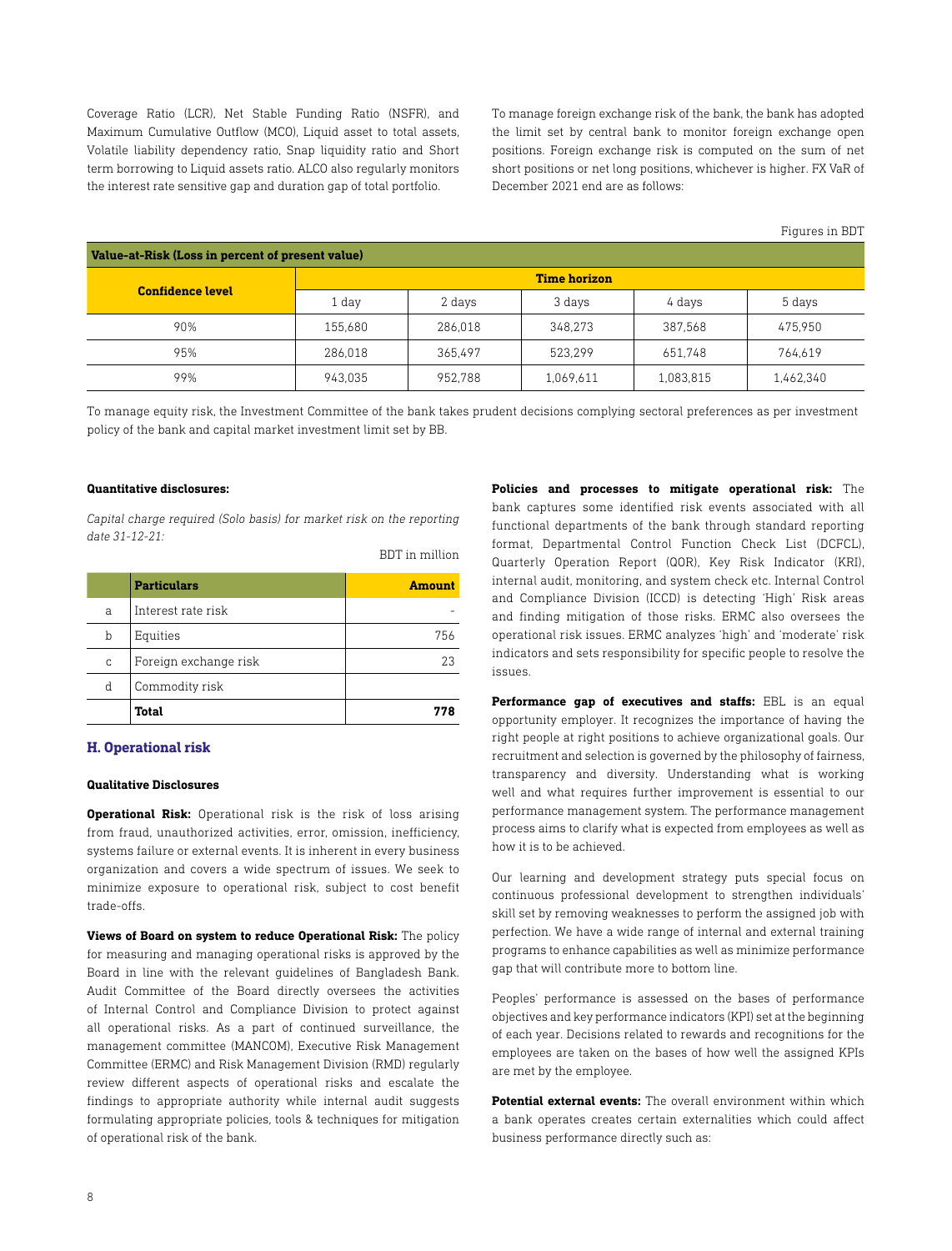Coverage Ratio (LCR), Net Stable Funding Ratio (NSFR), and Maximum Cumulative Outflow (MCO), Liquid asset to total assets, Volatile liability dependency ratio, Snap liquidity ratio and Short term borrowing to Liquid assets ratio. ALCO also regularly monitors the interest rate sensitive gap and duration gap of total portfolio.

To manage foreign exchange risk of the bank, the bank has adopted the limit set by central bank to monitor foreign exchange open positions. Foreign exchange risk is computed on the sum of net short positions or net long positions, whichever is higher. FX VaR of December 2021 end are as follows:

Figures in BDT

| Value-at-Risk (Loss in percent of present value) |         |         |           |           |           |
|--------------------------------------------------|---------|---------|-----------|-----------|-----------|
| <b>Time horizon</b>                              |         |         |           |           |           |
| <b>Confidence level</b>                          | 1 day   | 2 days  | 3 days    | 4 days    | 5 days    |
| 90%                                              | 155.680 | 286.018 | 348.273   | 387,568   | 475.950   |
| 95%                                              | 286.018 | 365.497 | 523.299   | 651.748   | 764.619   |
| 99%                                              | 943.035 | 952.788 | 1,069,611 | 1,083,815 | 1,462,340 |

To manage equity risk, the Investment Committee of the bank takes prudent decisions complying sectoral preferences as per investment policy of the bank and capital market investment limit set by BB.

BDT in million

# **Quantitative disclosures:**

*Capital charge required (Solo basis) for market risk on the reporting date 31-12-21:*

|   | <b>Particulars</b>    | <b>Amount</b> |
|---|-----------------------|---------------|
| a | Interest rate risk    |               |
| b | Equities              | 756           |
| C | Foreign exchange risk | 2.3           |
| d | Commodity risk        |               |
|   | <b>Total</b>          | 778           |

## **H. Operational risk**

## **Qualitative Disclosures**

**Operational Risk:** Operational risk is the risk of loss arising from fraud, unauthorized activities, error, omission, inefficiency, systems failure or external events. It is inherent in every business organization and covers a wide spectrum of issues. We seek to minimize exposure to operational risk, subject to cost benefit trade-offs.

**Views of Board on system to reduce Operational Risk:** The policy for measuring and managing operational risks is approved by the Board in line with the relevant guidelines of Bangladesh Bank. Audit Committee of the Board directly oversees the activities of Internal Control and Compliance Division to protect against all operational risks. As a part of continued surveillance, the management committee (MANCOM), Executive Risk Management Committee (ERMC) and Risk Management Division (RMD) regularly review different aspects of operational risks and escalate the findings to appropriate authority while internal audit suggests formulating appropriate policies, tools & techniques for mitigation of operational risk of the bank.

**Policies and processes to mitigate operational risk:** The bank captures some identified risk events associated with all functional departments of the bank through standard reporting format, Departmental Control Function Check List (DCFCL), Quarterly Operation Report (QOR), Key Risk Indicator (KRI), internal audit, monitoring, and system check etc. Internal Control and Compliance Division (ICCD) is detecting 'High' Risk areas and finding mitigation of those risks. ERMC also oversees the operational risk issues. ERMC analyzes 'high' and 'moderate' risk indicators and sets responsibility for specific people to resolve the issues.

**Performance gap of executives and staffs:** EBL is an equal opportunity employer. It recognizes the importance of having the right people at right positions to achieve organizational goals. Our recruitment and selection is governed by the philosophy of fairness, transparency and diversity. Understanding what is working well and what requires further improvement is essential to our performance management system. The performance management process aims to clarify what is expected from employees as well as how it is to be achieved.

Our learning and development strategy puts special focus on continuous professional development to strengthen individuals' skill set by removing weaknesses to perform the assigned job with perfection. We have a wide range of internal and external training programs to enhance capabilities as well as minimize performance gap that will contribute more to bottom line.

Peoples' performance is assessed on the bases of performance objectives and key performance indicators (KPI) set at the beginning of each year. Decisions related to rewards and recognitions for the employees are taken on the bases of how well the assigned KPIs are met by the employee.

**Potential external events:** The overall environment within which a bank operates creates certain externalities which could affect business performance directly such as: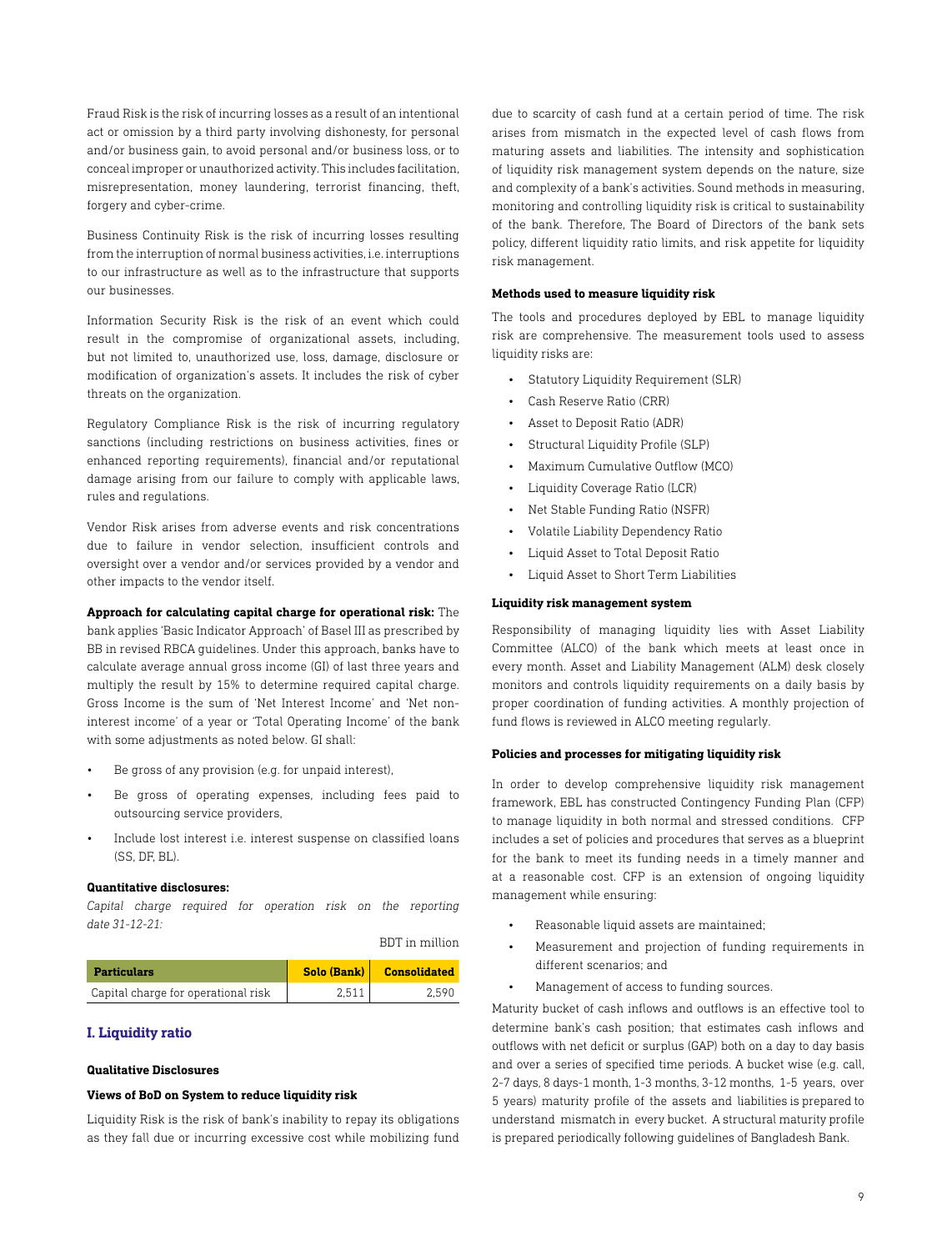Fraud Risk is the risk of incurring losses as a result of an intentional act or omission by a third party involving dishonesty, for personal and/or business gain, to avoid personal and/or business loss, or to conceal improper or unauthorized activity. This includes facilitation, misrepresentation, money laundering, terrorist financing, theft, forgery and cyber-crime.

Business Continuity Risk is the risk of incurring losses resulting from the interruption of normal business activities, i.e. interruptions to our infrastructure as well as to the infrastructure that supports our businesses.

Information Security Risk is the risk of an event which could result in the compromise of organizational assets, including, but not limited to, unauthorized use, loss, damage, disclosure or modification of organization's assets. It includes the risk of cyber threats on the organization.

Regulatory Compliance Risk is the risk of incurring regulatory sanctions (including restrictions on business activities, fines or enhanced reporting requirements), financial and/or reputational damage arising from our failure to comply with applicable laws, rules and regulations.

Vendor Risk arises from adverse events and risk concentrations due to failure in vendor selection, insufficient controls and oversight over a vendor and/or services provided by a vendor and other impacts to the vendor itself.

**Approach for calculating capital charge for operational risk:** The

bank applies 'Basic Indicator Approach' of Basel III as prescribed by BB in revised RBCA guidelines. Under this approach, banks have to calculate average annual gross income (GI) of last three years and multiply the result by 15% to determine required capital charge. Gross Income is the sum of 'Net Interest Income' and 'Net noninterest income' of a year or 'Total Operating Income' of the bank with some adjustments as noted below. GI shall:

- Be gross of any provision (e.g. for unpaid interest),
- Be gross of operating expenses, including fees paid to outsourcing service providers,
- Include lost interest i.e. interest suspense on classified loans  $(SS$ , DF, BL).

#### **Quantitative disclosures:**

*Capital charge required for operation risk on the reporting date 31-12-21:*

BDT in million

| <b>Particulars</b>                  | Solo (Bank) | <b>Consolidated</b> |
|-------------------------------------|-------------|---------------------|
| Capital charge for operational risk | 2.511       | 2.590               |

## **I. Liquidity ratio**

## **Qualitative Disclosures**

#### **Views of BoD on System to reduce liquidity risk**

Liquidity Risk is the risk of bank's inability to repay its obligations as they fall due or incurring excessive cost while mobilizing fund

due to scarcity of cash fund at a certain period of time. The risk arises from mismatch in the expected level of cash flows from maturing assets and liabilities. The intensity and sophistication of liquidity risk management system depends on the nature, size and complexity of a bank's activities. Sound methods in measuring, monitoring and controlling liquidity risk is critical to sustainability of the bank. Therefore, The Board of Directors of the bank sets policy, different liquidity ratio limits, and risk appetite for liquidity risk management.

#### **Methods used to measure liquidity risk**

The tools and procedures deployed by EBL to manage liquidity risk are comprehensive. The measurement tools used to assess liquidity risks are:

- Statutory Liquidity Requirement (SLR)
- Cash Reserve Ratio (CRR)
- Asset to Deposit Ratio (ADR)
- Structural Liquidity Profile (SLP)
- Maximum Cumulative Outflow (MCO)
- Liquidity Coverage Ratio (LCR)
- Net Stable Funding Ratio (NSFR)
- Volatile Liability Dependency Ratio
- Liquid Asset to Total Deposit Ratio
- Liquid Asset to Short Term Liabilities

#### **Liquidity risk management system**

Responsibility of managing liquidity lies with Asset Liability Committee (ALCO) of the bank which meets at least once in every month. Asset and Liability Management (ALM) desk closely monitors and controls liquidity requirements on a daily basis by proper coordination of funding activities. A monthly projection of fund flows is reviewed in ALCO meeting regularly.

#### **Policies and processes for mitigating liquidity risk**

In order to develop comprehensive liquidity risk management framework, EBL has constructed Contingency Funding Plan (CFP) to manage liquidity in both normal and stressed conditions. CFP includes a set of policies and procedures that serves as a blueprint for the bank to meet its funding needs in a timely manner and at a reasonable cost. CFP is an extension of ongoing liquidity management while ensuring:

- Reasonable liquid assets are maintained;
- Measurement and projection of funding requirements in different scenarios; and
- Management of access to funding sources.

Maturity bucket of cash inflows and outflows is an effective tool to determine bank's cash position; that estimates cash inflows and outflows with net deficit or surplus (GAP) both on a day to day basis and over a series of specified time periods. A bucket wise (e.g. call, 2-7 days, 8 days-1 month, 1-3 months, 3-12 months, 1-5 years, over 5 years) maturity profile of the assets and liabilities is prepared to understand mismatch in every bucket. A structural maturity profile is prepared periodically following guidelines of Bangladesh Bank.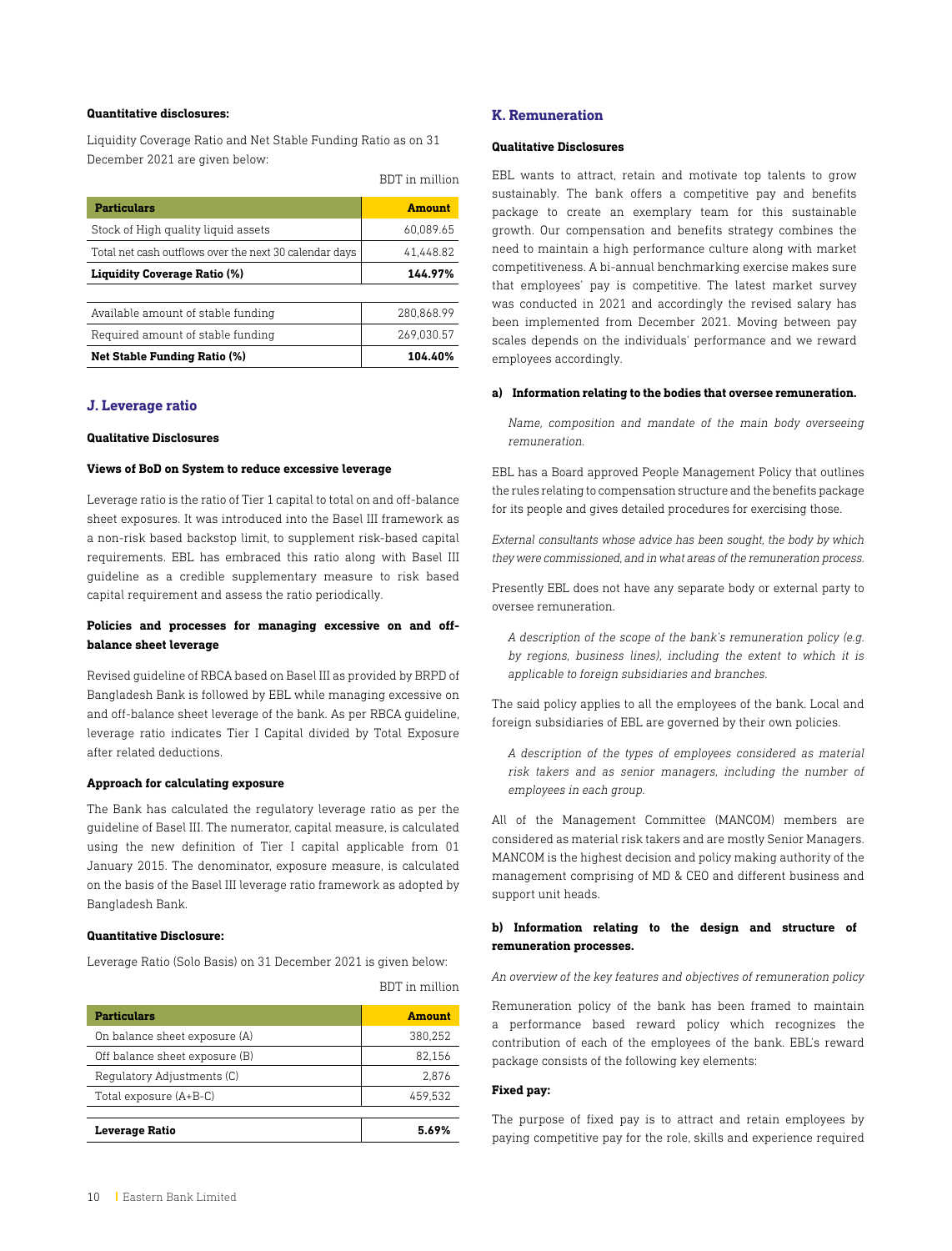## **Quantitative disclosures:**

Liquidity Coverage Ratio and Net Stable Funding Ratio as on 31 December 2021 are given below:

|  | BDT in million |
|--|----------------|
|  |                |

| <b>Particulars</b>                                     | <b>Amount</b> |
|--------------------------------------------------------|---------------|
| Stock of High quality liquid assets                    | 60.089.65     |
| Total net cash outflows over the next 30 calendar days | 41.448.82     |
| <b>Liquidity Coverage Ratio (%)</b>                    | 144.97%       |
|                                                        |               |
| Available amount of stable funding                     | 280.868.99    |
| Required amount of stable funding                      | 269.030.57    |
| <b>Net Stable Funding Ratio (%)</b>                    | 104.40%       |

## **J. Leverage ratio**

#### **Qualitative Disclosures**

#### **Views of BoD on System to reduce excessive leverage**

Leverage ratio is the ratio of Tier 1 capital to total on and off-balance sheet exposures. It was introduced into the Basel III framework as a non-risk based backstop limit, to supplement risk-based capital requirements. EBL has embraced this ratio along with Basel III guideline as a credible supplementary measure to risk based capital requirement and assess the ratio periodically.

# **Policies and processes for managing excessive on and offbalance sheet leverage**

Revised guideline of RBCA based on Basel III as provided by BRPD of Bangladesh Bank is followed by EBL while managing excessive on and off-balance sheet leverage of the bank. As per RBCA guideline, leverage ratio indicates Tier I Capital divided by Total Exposure after related deductions.

#### **Approach for calculating exposure**

The Bank has calculated the regulatory leverage ratio as per the guideline of Basel III. The numerator, capital measure, is calculated using the new definition of Tier I capital applicable from 01 January 2015. The denominator, exposure measure, is calculated on the basis of the Basel III leverage ratio framework as adopted by Bangladesh Bank.

#### **Quantitative Disclosure:**

Leverage Ratio (Solo Basis) on 31 December 2021 is given below:

BDT in million

| <b>Particulars</b>             | Amount  |
|--------------------------------|---------|
| On balance sheet exposure (A)  | 380,252 |
| Off balance sheet exposure (B) | 82.156  |
| Regulatory Adjustments (C)     | 2.876   |
| Total exposure (A+B-C)         | 459.532 |
|                                |         |
| <b>Leverage Ratio</b>          | 5.69%   |

#### **K. Remuneration**

## **Qualitative Disclosures**

EBL wants to attract, retain and motivate top talents to grow sustainably. The bank offers a competitive pay and benefits package to create an exemplary team for this sustainable growth. Our compensation and benefits strategy combines the need to maintain a high performance culture along with market competitiveness. A bi-annual benchmarking exercise makes sure that employees' pay is competitive. The latest market survey was conducted in 2021 and accordingly the revised salary has been implemented from December 2021. Moving between pay scales depends on the individuals' performance and we reward employees accordingly.

#### **a) Information relating to the bodies that oversee remuneration.**

*Name, composition and mandate of the main body overseeing remuneration.*

EBL has a Board approved People Management Policy that outlines the rules relating to compensation structure and the benefits package for its people and gives detailed procedures for exercising those.

*External consultants whose advice has been sought, the body by which they were commissioned, and in what areas of the remuneration process.*

Presently EBL does not have any separate body or external party to oversee remuneration.

*A description of the scope of the bank's remuneration policy (e.g. by regions, business lines), including the extent to which it is applicable to foreign subsidiaries and branches.*

The said policy applies to all the employees of the bank. Local and foreign subsidiaries of EBL are governed by their own policies.

*A description of the types of employees considered as material risk takers and as senior managers, including the number of employees in each group.*

All of the Management Committee (MANCOM) members are considered as material risk takers and are mostly Senior Managers. MANCOM is the highest decision and policy making authority of the management comprising of MD & CEO and different business and support unit heads.

## **b) Information relating to the design and structure of remuneration processes.**

*An overview of the key features and objectives of remuneration policy*

Remuneration policy of the bank has been framed to maintain a performance based reward policy which recognizes the contribution of each of the employees of the bank. EBL's reward package consists of the following key elements:

#### **Fixed pay:**

The purpose of fixed pay is to attract and retain employees by paying competitive pay for the role, skills and experience required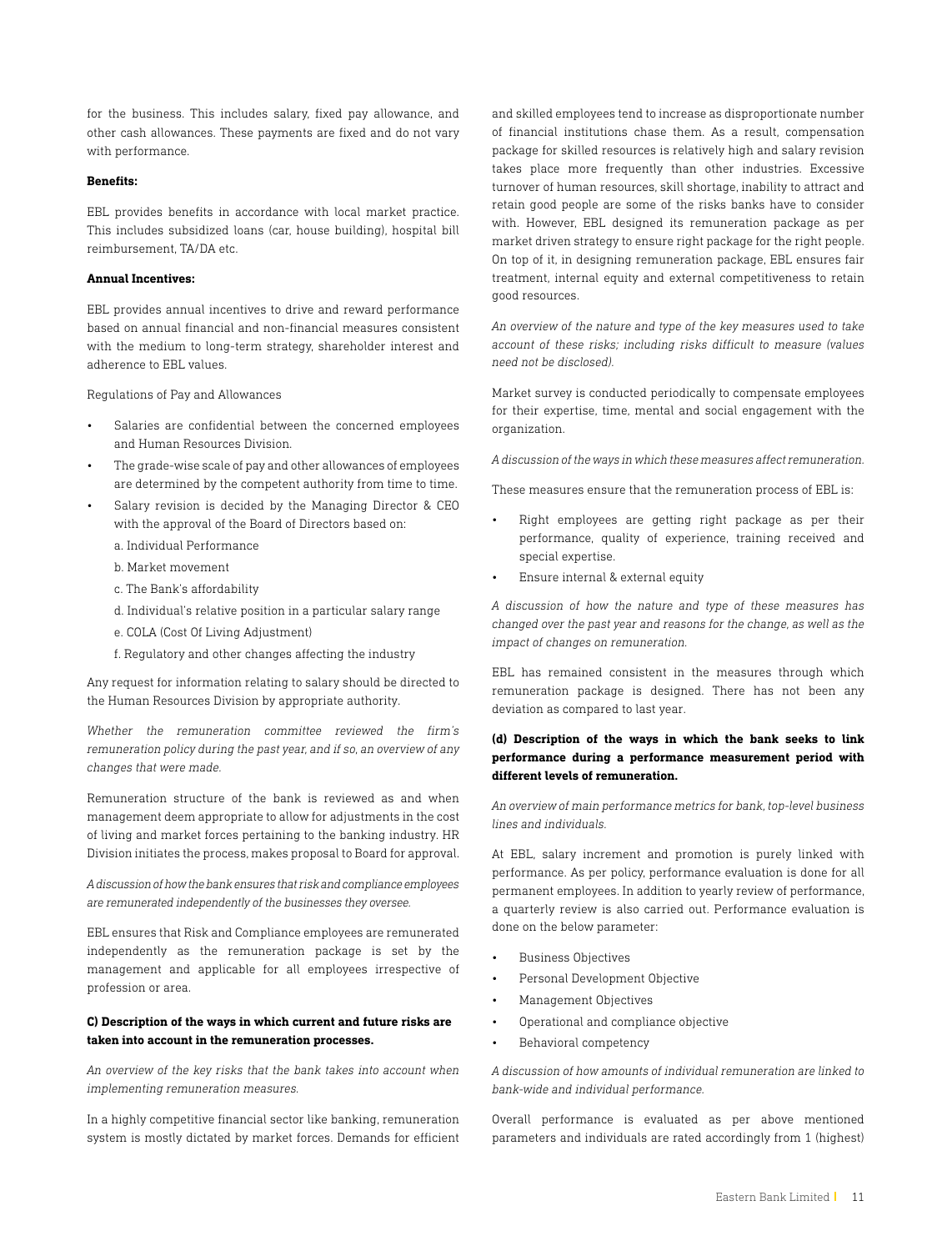for the business. This includes salary, fixed pay allowance, and other cash allowances. These payments are fixed and do not vary with performance.

#### **Benefits:**

EBL provides benefits in accordance with local market practice. This includes subsidized loans (car, house building), hospital bill reimbursement, TA/DA etc.

#### **Annual Incentives:**

EBL provides annual incentives to drive and reward performance based on annual financial and non-financial measures consistent with the medium to long-term strategy, shareholder interest and adherence to EBL values.

Regulations of Pay and Allowances

- Salaries are confidential between the concerned employees and Human Resources Division.
- The grade-wise scale of pay and other allowances of employees are determined by the competent authority from time to time.
- Salary revision is decided by the Managing Director & CEO with the approval of the Board of Directors based on:
	- a. Individual Performance
	- b. Market movement
	- c. The Bank's affordability
	- d. Individual's relative position in a particular salary range
	- e. COLA (Cost Of Living Adjustment)
	- f. Regulatory and other changes affecting the industry

Any request for information relating to salary should be directed to the Human Resources Division by appropriate authority.

*Whether the remuneration committee reviewed the firm's remuneration policy during the past year, and if so, an overview of any changes that were made.*

Remuneration structure of the bank is reviewed as and when management deem appropriate to allow for adjustments in the cost of living and market forces pertaining to the banking industry. HR Division initiates the process, makes proposal to Board for approval.

*A discussion of how the bank ensures that risk and compliance employees are remunerated independently of the businesses they oversee.*

EBL ensures that Risk and Compliance employees are remunerated independently as the remuneration package is set by the management and applicable for all employees irrespective of profession or area.

# **C) Description of the ways in which current and future risks are taken into account in the remuneration processes.**

*An overview of the key risks that the bank takes into account when implementing remuneration measures.*

In a highly competitive financial sector like banking, remuneration system is mostly dictated by market forces. Demands for efficient and skilled employees tend to increase as disproportionate number of financial institutions chase them. As a result, compensation package for skilled resources is relatively high and salary revision takes place more frequently than other industries. Excessive turnover of human resources, skill shortage, inability to attract and retain good people are some of the risks banks have to consider with. However, EBL designed its remuneration package as per market driven strategy to ensure right package for the right people. On top of it, in designing remuneration package, EBL ensures fair treatment, internal equity and external competitiveness to retain good resources.

*An overview of the nature and type of the key measures used to take account of these risks; including risks difficult to measure (values need not be disclosed).*

Market survey is conducted periodically to compensate employees for their expertise, time, mental and social engagement with the organization.

*A discussion of the ways in which these measures affect remuneration.*

These measures ensure that the remuneration process of EBL is:

- Right employees are getting right package as per their performance, quality of experience, training received and special expertise.
- Ensure internal & external equity

*A discussion of how the nature and type of these measures has changed over the past year and reasons for the change, as well as the impact of changes on remuneration.*

EBL has remained consistent in the measures through which remuneration package is designed. There has not been any deviation as compared to last year.

# **(d) Description of the ways in which the bank seeks to link performance during a performance measurement period with different levels of remuneration.**

*An overview of main performance metrics for bank, top-level business lines and individuals.*

At EBL, salary increment and promotion is purely linked with performance. As per policy, performance evaluation is done for all permanent employees. In addition to yearly review of performance, a quarterly review is also carried out. Performance evaluation is done on the below parameter:

- Business Objectives
- Personal Development Objective
- Management Objectives
- Operational and compliance objective
- Behavioral competency

*A discussion of how amounts of individual remuneration are linked to bank-wide and individual performance.*

Overall performance is evaluated as per above mentioned parameters and individuals are rated accordingly from 1 (highest)